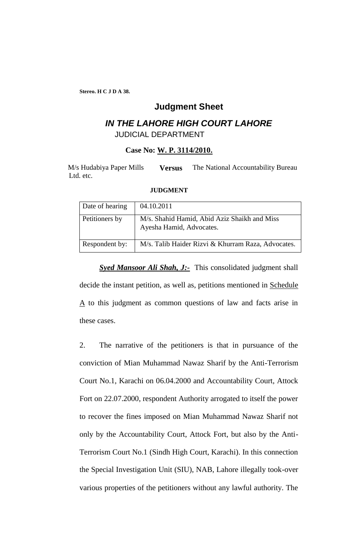**Stereo. H C J D A 38.**

## **Judgment Sheet**

# *IN THE LAHORE HIGH COURT LAHORE*

JUDICIAL DEPARTMENT

### **Case No: W. P. 3114/2010.**

M/s Hudabiya Paper Mills Ltd. etc. **Versus** The National Accountability Bureau

### **JUDGMENT**

| Date of hearing | 04.10.2011                                                               |
|-----------------|--------------------------------------------------------------------------|
| Petitioners by  | M/s. Shahid Hamid, Abid Aziz Shaikh and Miss<br>Ayesha Hamid, Advocates. |
| Respondent by:  | M/s. Talib Haider Rizvi & Khurram Raza, Advocates.                       |

**Syed Mansoor Ali Shah, J:-** This consolidated judgment shall decide the instant petition, as well as, petitions mentioned in Schedule  $\Delta$  to this judgment as common questions of law and facts arise in these cases.

2. The narrative of the petitioners is that in pursuance of the conviction of Mian Muhammad Nawaz Sharif by the Anti-Terrorism Court No.1, Karachi on 06.04.2000 and Accountability Court, Attock Fort on 22.07.2000, respondent Authority arrogated to itself the power to recover the fines imposed on Mian Muhammad Nawaz Sharif not only by the Accountability Court, Attock Fort, but also by the Anti-Terrorism Court No.1 (Sindh High Court, Karachi). In this connection the Special Investigation Unit (SIU), NAB, Lahore illegally took-over various properties of the petitioners without any lawful authority. The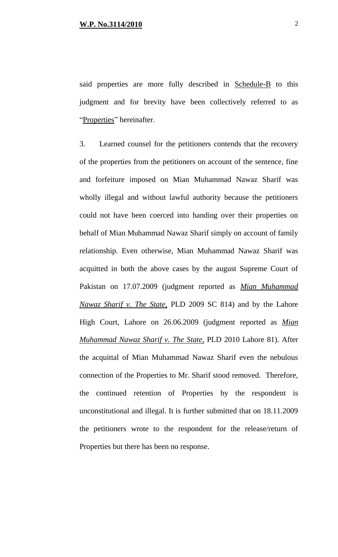said properties are more fully described in Schedule-B to this judgment and for brevity have been collectively referred to as "Properties" hereinafter.

3. Learned counsel for the petitioners contends that the recovery of the properties from the petitioners on account of the sentence, fine and forfeiture imposed on Mian Muhammad Nawaz Sharif was wholly illegal and without lawful authority because the petitioners could not have been coerced into handing over their properties on behalf of Mian Muhammad Nawaz Sharif simply on account of family relationship. Even otherwise, Mian Muhammad Nawaz Sharif was acquitted in both the above cases by the august Supreme Court of Pakistan on 17.07.2009 (judgment reported as *Mian Muhammad Nawaz Sharif v. The State,* PLD 2009 SC 814) and by the Lahore High Court, Lahore on 26.06.2009 (judgment reported as *Mian Muhammad Nawaz Sharif v. The State,* PLD 2010 Lahore 81). After the acquittal of Mian Muhammad Nawaz Sharif even the nebulous connection of the Properties to Mr. Sharif stood removed. Therefore, the continued retention of Properties by the respondent is unconstitutional and illegal. It is further submitted that on 18.11.2009 the petitioners wrote to the respondent for the release/return of Properties but there has been no response.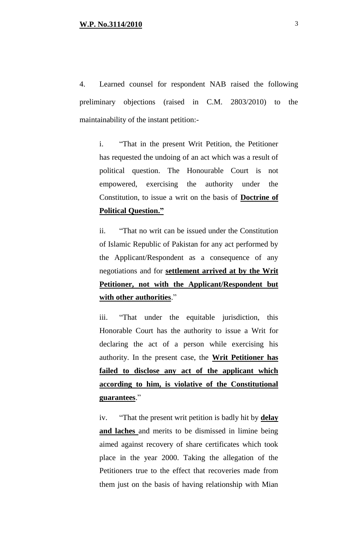4. Learned counsel for respondent NAB raised the following preliminary objections (raised in C.M. 2803/2010) to the maintainability of the instant petition:-

i. "That in the present Writ Petition, the Petitioner has requested the undoing of an act which was a result of political question. The Honourable Court is not empowered, exercising the authority under the Constitution, to issue a writ on the basis of **Doctrine of Political Question."**

ii. "That no writ can be issued under the Constitution of Islamic Republic of Pakistan for any act performed by the Applicant/Respondent as a consequence of any negotiations and for **settlement arrived at by the Writ Petitioner, not with the Applicant/Respondent but with other authorities**."

iii. "That under the equitable jurisdiction, this Honorable Court has the authority to issue a Writ for declaring the act of a person while exercising his authority. In the present case, the **Writ Petitioner has failed to disclose any act of the applicant which according to him, is violative of the Constitutional guarantees**."

iv. "That the present writ petition is badly hit by **delay and laches** and merits to be dismissed in limine being aimed against recovery of share certificates which took place in the year 2000. Taking the allegation of the Petitioners true to the effect that recoveries made from them just on the basis of having relationship with Mian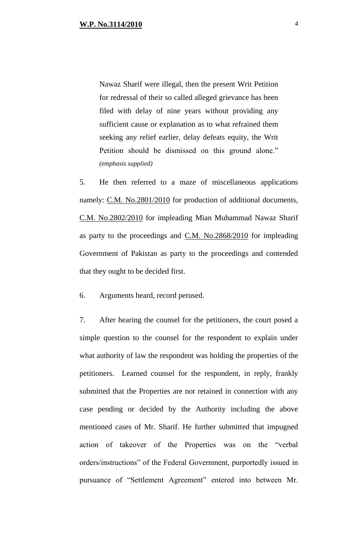Nawaz Sharif were illegal, then the present Writ Petition for redressal of their so called alleged grievance has been filed with delay of nine years without providing any sufficient cause or explanation as to what refrained them seeking any relief earlier, delay defeats equity, the Writ Petition should be dismissed on this ground alone." *(emphasis supplied)* 

5. He then referred to a maze of miscellaneous applications namely: C.M. No.2801/2010 for production of additional documents, C.M. No.2802/2010 for impleading Mian Muhammad Nawaz Sharif as party to the proceedings and C.M. No.2868/2010 for impleading Government of Pakistan as party to the proceedings and contended that they ought to be decided first.

6. Arguments heard, record perused.

7. After hearing the counsel for the petitioners, the court posed a simple question to the counsel for the respondent to explain under what authority of law the respondent was holding the properties of the petitioners. Learned counsel for the respondent, in reply, frankly submitted that the Properties are not retained in connection with any case pending or decided by the Authority including the above mentioned cases of Mr. Sharif. He further submitted that impugned action of takeover of the Properties was on the "verbal orders/instructions" of the Federal Government, purportedly issued in pursuance of "Settlement Agreement" entered into between Mr.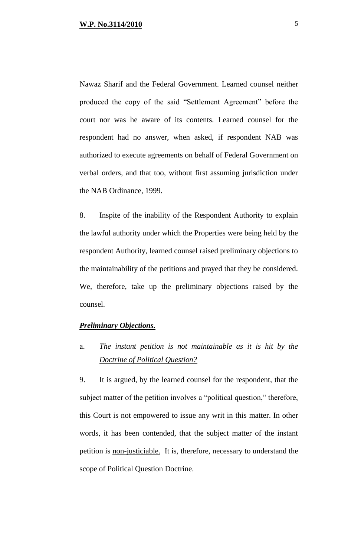Nawaz Sharif and the Federal Government. Learned counsel neither produced the copy of the said "Settlement Agreement" before the court nor was he aware of its contents. Learned counsel for the respondent had no answer, when asked, if respondent NAB was authorized to execute agreements on behalf of Federal Government on verbal orders, and that too, without first assuming jurisdiction under the NAB Ordinance, 1999.

8. Inspite of the inability of the Respondent Authority to explain the lawful authority under which the Properties were being held by the respondent Authority, learned counsel raised preliminary objections to the maintainability of the petitions and prayed that they be considered. We, therefore, take up the preliminary objections raised by the counsel.

### *Preliminary Objections.*

a. *The instant petition is not maintainable as it is hit by the Doctrine of Political Question?* 

9. It is argued, by the learned counsel for the respondent, that the subject matter of the petition involves a "political question," therefore, this Court is not empowered to issue any writ in this matter. In other words, it has been contended, that the subject matter of the instant petition is non-justiciable. It is, therefore, necessary to understand the scope of Political Question Doctrine.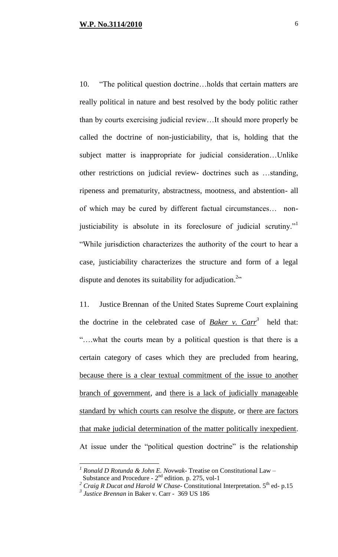10. "The political question doctrine…holds that certain matters are really political in nature and best resolved by the body politic rather than by courts exercising judicial review…It should more properly be called the doctrine of non-justiciability, that is, holding that the subject matter is inappropriate for judicial consideration…Unlike other restrictions on judicial review- doctrines such as …standing, ripeness and prematurity, abstractness, mootness, and abstention- all of which may be cured by different factual circumstances… nonjusticiability is absolute in its foreclosure of judicial scrutiny."<sup>1</sup> "While jurisdiction characterizes the authority of the court to hear a case, justiciability characterizes the structure and form of a legal dispute and denotes its suitability for adjudication.<sup>2</sup><sup>22</sup>

11. Justice Brennan of the United States Supreme Court explaining the doctrine in the celebrated case of *Baker v. Carr<sup>3</sup>* held that: "….what the courts mean by a political question is that there is a certain category of cases which they are precluded from hearing, because there is a clear textual commitment of the issue to another branch of government, and there is a lack of judicially manageable standard by which courts can resolve the dispute, or there are factors that make judicial determination of the matter politically inexpedient. At issue under the "political question doctrine" is the relationship

*<sup>1</sup> Ronald D Rotunda & John E. Novwak-* Treatise on Constitutional Law –

Substance and Procedure -  $2<sup>nd</sup>$  edition. p. 275, vol-1

<sup>&</sup>lt;sup>2</sup> *Craig R Ducat and Harold W Chase-* Constitutional Interpretation. 5<sup>th</sup> ed- p.15

*<sup>3</sup> Justice Brennan* in Baker v. Carr - 369 US 186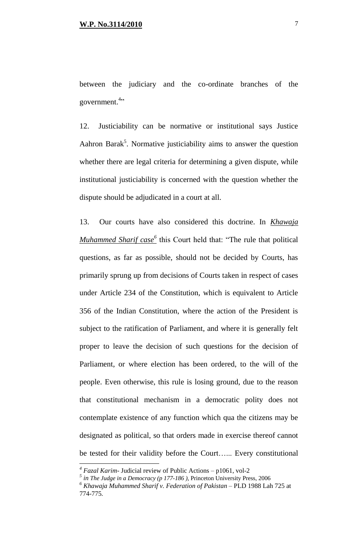between the judiciary and the co-ordinate branches of the government.<sup>4</sup>"

12. Justiciability can be normative or institutional says Justice Aahron Barak<sup>5</sup>. Normative justiciability aims to answer the question whether there are legal criteria for determining a given dispute, while institutional justiciability is concerned with the question whether the dispute should be adjudicated in a court at all.

13. Our courts have also considered this doctrine. In *Khawaja Muhammed Sharif case*<sup>6</sup> this Court held that: "The rule that political questions, as far as possible, should not be decided by Courts, has primarily sprung up from decisions of Courts taken in respect of cases under Article 234 of the Constitution, which is equivalent to Article 356 of the Indian Constitution, where the action of the President is subject to the ratification of Parliament, and where it is generally felt proper to leave the decision of such questions for the decision of Parliament, or where election has been ordered, to the will of the people. Even otherwise, this rule is losing ground, due to the reason that constitutional mechanism in a democratic polity does not contemplate existence of any function which qua the citizens may be designated as political, so that orders made in exercise thereof cannot be tested for their validity before the Court…... Every constitutional

*<sup>4</sup> Fazal Karim-* Judicial review of Public Actions – p1061, vol-2

*<sup>5</sup> in The Judge in a Democracy (p 177-186 ),* Princeton University Press, 2006

*<sup>6</sup> Khawaja Muhammed Sharif v. Federation of Pakistan –* PLD 1988 Lah 725 at 774-775*.*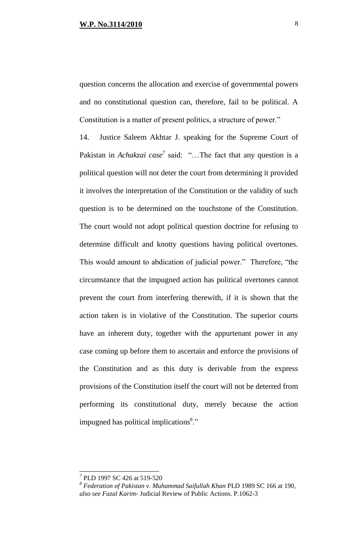question concerns the allocation and exercise of governmental powers and no constitutional question can, therefore, fail to be political. A Constitution is a matter of present politics, a structure of power."

14. Justice Saleem Akhtar J. speaking for the Supreme Court of Pakistan in *Achakzai case<sup>7</sup>* said: "…The fact that any question is a political question will not deter the court from determining it provided it involves the interpretation of the Constitution or the validity of such question is to be determined on the touchstone of the Constitution. The court would not adopt political question doctrine for refusing to determine difficult and knotty questions having political overtones. This would amount to abdication of judicial power." Therefore, "the circumstance that the impugned action has political overtones cannot prevent the court from interfering therewith, if it is shown that the action taken is in violative of the Constitution. The superior courts have an inherent duty, together with the appurtenant power in any case coming up before them to ascertain and enforce the provisions of the Constitution and as this duty is derivable from the express provisions of the Constitution itself the court will not be deterred from performing its constitutional duty, merely because the action impugned has political implications<sup>8</sup>."

*<sup>7</sup>* PLD 1997 SC 426 at 519-520

*<sup>8</sup> Federation of Pakistan v. Muhammad Saifullah Khan* PLD 1989 SC 166 at 190*, also see Fazal Karim-* Judicial Review of Public Actions. P.1062-3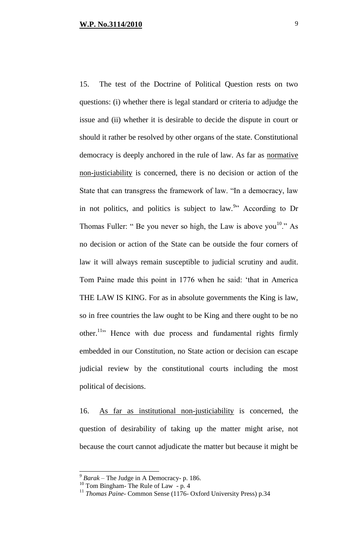15. The test of the Doctrine of Political Question rests on two questions: (i) whether there is legal standard or criteria to adjudge the issue and (ii) whether it is desirable to decide the dispute in court or should it rather be resolved by other organs of the state. Constitutional democracy is deeply anchored in the rule of law. As far as normative non-justiciability is concerned, there is no decision or action of the State that can transgress the framework of law. "In a democracy, law in not politics, and politics is subject to law.<sup>9</sup> $\cdot$  According to Dr Thomas Fuller: " Be you never so high, the Law is above you<sup>10</sup>." As no decision or action of the State can be outside the four corners of law it will always remain susceptible to judicial scrutiny and audit. Tom Paine made this point in 1776 when he said: "that in America THE LAW IS KING. For as in absolute governments the King is law, so in free countries the law ought to be King and there ought to be no other.<sup>11</sup>" Hence with due process and fundamental rights firmly embedded in our Constitution, no State action or decision can escape judicial review by the constitutional courts including the most political of decisions.

16. As far as institutional non-justiciability is concerned, the question of desirability of taking up the matter might arise, not because the court cannot adjudicate the matter but because it might be

*<sup>9</sup> Barak* – The Judge in A Democracy- p. 186.

 $10^{10}$  Tom Bingham- The Rule of Law - p. 4

<sup>11</sup> *Thomas Paine*- Common Sense (1176- Oxford University Press) p.34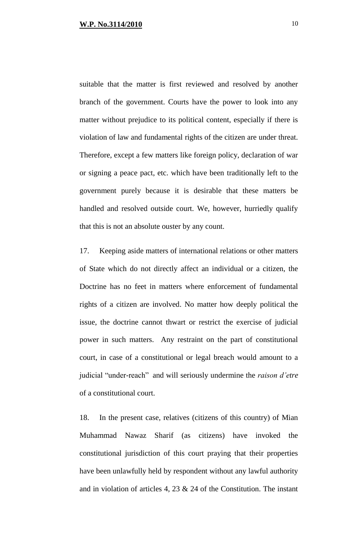suitable that the matter is first reviewed and resolved by another branch of the government. Courts have the power to look into any matter without prejudice to its political content, especially if there is violation of law and fundamental rights of the citizen are under threat. Therefore, except a few matters like foreign policy, declaration of war or signing a peace pact, etc. which have been traditionally left to the government purely because it is desirable that these matters be handled and resolved outside court. We, however, hurriedly qualify that this is not an absolute ouster by any count.

17. Keeping aside matters of international relations or other matters of State which do not directly affect an individual or a citizen, the Doctrine has no feet in matters where enforcement of fundamental rights of a citizen are involved. No matter how deeply political the issue, the doctrine cannot thwart or restrict the exercise of judicial power in such matters. Any restraint on the part of constitutional court, in case of a constitutional or legal breach would amount to a judicial "under-reach" and will seriously undermine the *raison d'etre* of a constitutional court.

18. In the present case, relatives (citizens of this country) of Mian Muhammad Nawaz Sharif (as citizens) have invoked the constitutional jurisdiction of this court praying that their properties have been unlawfully held by respondent without any lawful authority and in violation of articles 4, 23  $\&$  24 of the Constitution. The instant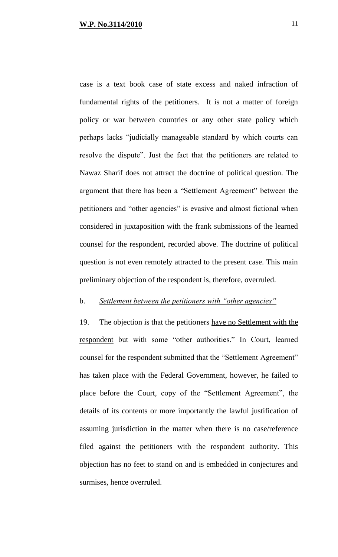case is a text book case of state excess and naked infraction of fundamental rights of the petitioners. It is not a matter of foreign policy or war between countries or any other state policy which perhaps lacks "judicially manageable standard by which courts can resolve the dispute". Just the fact that the petitioners are related to Nawaz Sharif does not attract the doctrine of political question. The argument that there has been a "Settlement Agreement" between the petitioners and "other agencies" is evasive and almost fictional when considered in juxtaposition with the frank submissions of the learned counsel for the respondent, recorded above. The doctrine of political question is not even remotely attracted to the present case. This main preliminary objection of the respondent is, therefore, overruled.

#### b. *Settlement between the petitioners with "other agencies"*

19. The objection is that the petitioners have no Settlement with the respondent but with some "other authorities." In Court, learned counsel for the respondent submitted that the "Settlement Agreement" has taken place with the Federal Government, however, he failed to place before the Court, copy of the "Settlement Agreement", the details of its contents or more importantly the lawful justification of assuming jurisdiction in the matter when there is no case/reference filed against the petitioners with the respondent authority. This objection has no feet to stand on and is embedded in conjectures and surmises, hence overruled.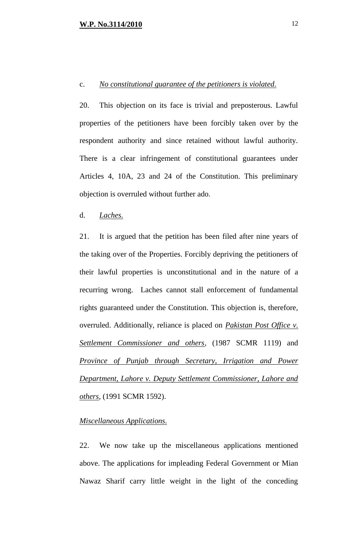### **W.P. No.3114/2010** 12

#### c. *No constitutional guarantee of the petitioners is violated.*

20. This objection on its face is trivial and preposterous. Lawful properties of the petitioners have been forcibly taken over by the respondent authority and since retained without lawful authority. There is a clear infringement of constitutional guarantees under Articles 4, 10A, 23 and 24 of the Constitution. This preliminary objection is overruled without further ado.

d. *Laches.*

21. It is argued that the petition has been filed after nine years of the taking over of the Properties. Forcibly depriving the petitioners of their lawful properties is unconstitutional and in the nature of a recurring wrong. Laches cannot stall enforcement of fundamental rights guaranteed under the Constitution. This objection is, therefore, overruled. Additionally, reliance is placed on *Pakistan Post Office v. Settlement Commissioner and others,* (1987 SCMR 1119) and *Province of Punjab through Secretary, Irrigation and Power Department, Lahore v. Deputy Settlement Commissioner, Lahore and others*, (1991 SCMR 1592).

#### *Miscellaneous Applications.*

22. We now take up the miscellaneous applications mentioned above. The applications for impleading Federal Government or Mian Nawaz Sharif carry little weight in the light of the conceding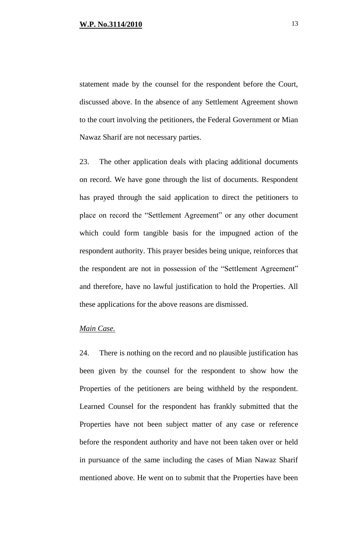statement made by the counsel for the respondent before the Court, discussed above. In the absence of any Settlement Agreement shown to the court involving the petitioners, the Federal Government or Mian Nawaz Sharif are not necessary parties.

23. The other application deals with placing additional documents on record. We have gone through the list of documents. Respondent has prayed through the said application to direct the petitioners to place on record the "Settlement Agreement" or any other document which could form tangible basis for the impugned action of the respondent authority. This prayer besides being unique, reinforces that the respondent are not in possession of the "Settlement Agreement" and therefore, have no lawful justification to hold the Properties. All these applications for the above reasons are dismissed.

### *Main Case.*

24. There is nothing on the record and no plausible justification has been given by the counsel for the respondent to show how the Properties of the petitioners are being withheld by the respondent. Learned Counsel for the respondent has frankly submitted that the Properties have not been subject matter of any case or reference before the respondent authority and have not been taken over or held in pursuance of the same including the cases of Mian Nawaz Sharif mentioned above. He went on to submit that the Properties have been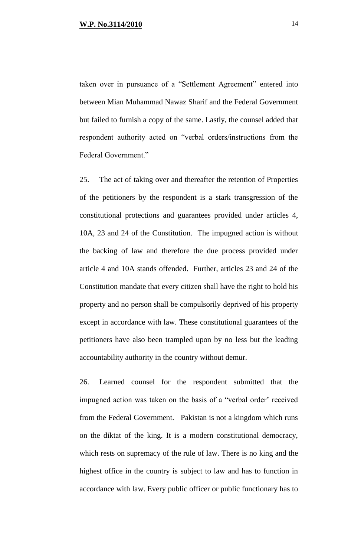taken over in pursuance of a "Settlement Agreement" entered into between Mian Muhammad Nawaz Sharif and the Federal Government but failed to furnish a copy of the same. Lastly, the counsel added that respondent authority acted on "verbal orders/instructions from the Federal Government."

25. The act of taking over and thereafter the retention of Properties of the petitioners by the respondent is a stark transgression of the constitutional protections and guarantees provided under articles 4, 10A, 23 and 24 of the Constitution. The impugned action is without the backing of law and therefore the due process provided under article 4 and 10A stands offended. Further, articles 23 and 24 of the Constitution mandate that every citizen shall have the right to hold his property and no person shall be compulsorily deprived of his property except in accordance with law. These constitutional guarantees of the petitioners have also been trampled upon by no less but the leading accountability authority in the country without demur.

26. Learned counsel for the respondent submitted that the impugned action was taken on the basis of a "verbal order" received from the Federal Government. Pakistan is not a kingdom which runs on the diktat of the king. It is a modern constitutional democracy, which rests on supremacy of the rule of law. There is no king and the highest office in the country is subject to law and has to function in accordance with law. Every public officer or public functionary has to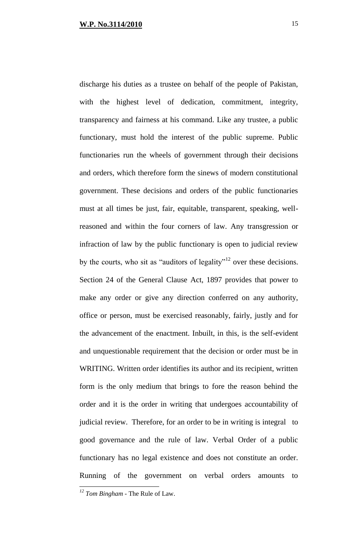discharge his duties as a trustee on behalf of the people of Pakistan, with the highest level of dedication, commitment, integrity, transparency and fairness at his command. Like any trustee, a public functionary, must hold the interest of the public supreme. Public functionaries run the wheels of government through their decisions and orders, which therefore form the sinews of modern constitutional government. These decisions and orders of the public functionaries must at all times be just, fair, equitable, transparent, speaking, wellreasoned and within the four corners of law. Any transgression or infraction of law by the public functionary is open to judicial review by the courts, who sit as "auditors of legality"<sup>12</sup> over these decisions. Section 24 of the General Clause Act, 1897 provides that power to make any order or give any direction conferred on any authority, office or person, must be exercised reasonably, fairly, justly and for the advancement of the enactment. Inbuilt, in this, is the self-evident and unquestionable requirement that the decision or order must be in WRITING. Written order identifies its author and its recipient, written form is the only medium that brings to fore the reason behind the order and it is the order in writing that undergoes accountability of judicial review. Therefore, for an order to be in writing is integral to good governance and the rule of law. Verbal Order of a public functionary has no legal existence and does not constitute an order. Running of the government on verbal orders amounts to

*<sup>12</sup> Tom Bingham -* The Rule of Law.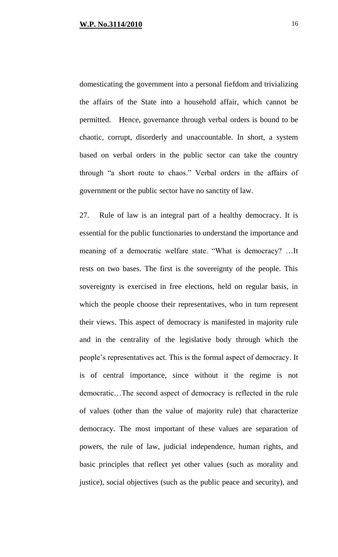domesticating the government into a personal fiefdom and trivializing the affairs of the State into a household affair, which cannot be permitted. Hence, governance through verbal orders is bound to be chaotic, corrupt, disorderly and unaccountable. In short, a system based on verbal orders in the public sector can take the country through "a short route to chaos." Verbal orders in the affairs of government or the public sector have no sanctity of law.

27. Rule of law is an integral part of a healthy democracy. It is essential for the public functionaries to understand the importance and meaning of a democratic welfare state. "What is democracy? …It rests on two bases. The first is the sovereignty of the people. This sovereignty is exercised in free elections, held on regular basis, in which the people choose their representatives, who in turn represent their views. This aspect of democracy is manifested in majority rule and in the centrality of the legislative body through which the people"s representatives act. This is the formal aspect of democracy. It is of central importance, since without it the regime is not democratic…The second aspect of democracy is reflected in the rule of values (other than the value of majority rule) that characterize democracy. The most important of these values are separation of powers, the rule of law, judicial independence, human rights, and basic principles that reflect yet other values (such as morality and justice), social objectives (such as the public peace and security), and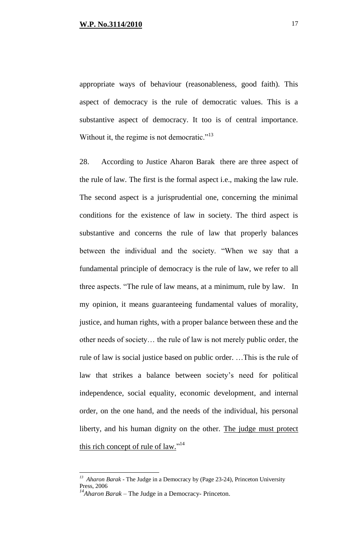appropriate ways of behaviour (reasonableness, good faith). This aspect of democracy is the rule of democratic values. This is a substantive aspect of democracy. It too is of central importance. Without it, the regime is not democratic."<sup>13</sup>

28. According to Justice Aharon Barak there are three aspect of the rule of law. The first is the formal aspect i.e., making the law rule. The second aspect is a jurisprudential one, concerning the minimal conditions for the existence of law in society. The third aspect is substantive and concerns the rule of law that properly balances between the individual and the society. "When we say that a fundamental principle of democracy is the rule of law, we refer to all three aspects. "The rule of law means, at a minimum, rule by law. In my opinion, it means guaranteeing fundamental values of morality, justice, and human rights, with a proper balance between these and the other needs of society… the rule of law is not merely public order, the rule of law is social justice based on public order. …This is the rule of law that strikes a balance between society"s need for political independence, social equality, economic development, and internal order, on the one hand, and the needs of the individual, his personal liberty, and his human dignity on the other. The judge must protect this rich concept of rule of  $law.'$ <sup>14</sup>

<sup>&</sup>lt;sup>13</sup> Aharon Barak - The Judge in a Democracy by (Page 23-24), Princeton University Press, 2006

*<sup>14</sup>Aharon Barak –* The Judge in a Democracy- Princeton.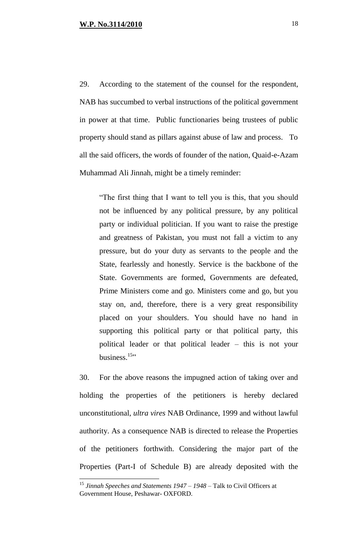29. According to the statement of the counsel for the respondent, NAB has succumbed to verbal instructions of the political government in power at that time. Public functionaries being trustees of public property should stand as pillars against abuse of law and process. To all the said officers, the words of founder of the nation, Quaid-e-Azam Muhammad Ali Jinnah, might be a timely reminder:

"The first thing that I want to tell you is this, that you should not be influenced by any political pressure, by any political party or individual politician. If you want to raise the prestige and greatness of Pakistan, you must not fall a victim to any pressure, but do your duty as servants to the people and the State, fearlessly and honestly. Service is the backbone of the State. Governments are formed, Governments are defeated, Prime Ministers come and go. Ministers come and go, but you stay on, and, therefore, there is a very great responsibility placed on your shoulders. You should have no hand in supporting this political party or that political party, this political leader or that political leader – this is not your business. $15"$ 

30. For the above reasons the impugned action of taking over and holding the properties of the petitioners is hereby declared unconstitutional, *ultra vires* NAB Ordinance, 1999 and without lawful authority. As a consequence NAB is directed to release the Properties of the petitioners forthwith. Considering the major part of the Properties (Part-I of Schedule B) are already deposited with the

<sup>15</sup> *Jinnah Speeches and Statements 1947 – 1948* – Talk to Civil Officers at Government House, Peshawar- OXFORD.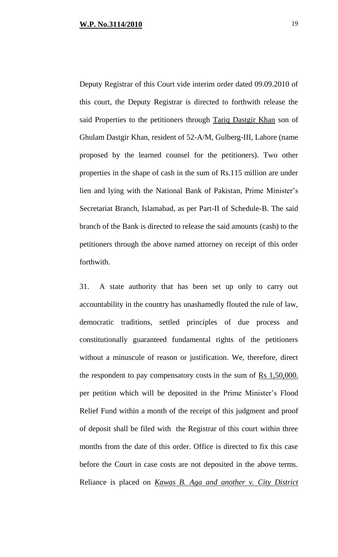Deputy Registrar of this Court vide interim order dated 09.09.2010 of this court, the Deputy Registrar is directed to forthwith release the said Properties to the petitioners through Tariq Dastgir Khan son of Ghulam Dastgir Khan, resident of 52-A/M, Gulberg-III, Lahore (name proposed by the learned counsel for the petitioners). Two other properties in the shape of cash in the sum of Rs.115 million are under lien and lying with the National Bank of Pakistan, Prime Minister's Secretariat Branch, Islamabad, as per Part-II of Schedule-B. The said branch of the Bank is directed to release the said amounts (cash) to the petitioners through the above named attorney on receipt of this order forthwith.

31. A state authority that has been set up only to carry out accountability in the country has unashamedly flouted the rule of law, democratic traditions, settled principles of due process and constitutionally guaranteed fundamental rights of the petitioners without a minuscule of reason or justification. We, therefore, direct the respondent to pay compensatory costs in the sum of  $\overline{Rs}$  1,50,000. per petition which will be deposited in the Prime Minister"s Flood Relief Fund within a month of the receipt of this judgment and proof of deposit shall be filed with the Registrar of this court within three months from the date of this order. Office is directed to fix this case before the Court in case costs are not deposited in the above terms. Reliance is placed on *Kawas B. Aga and another v. City District*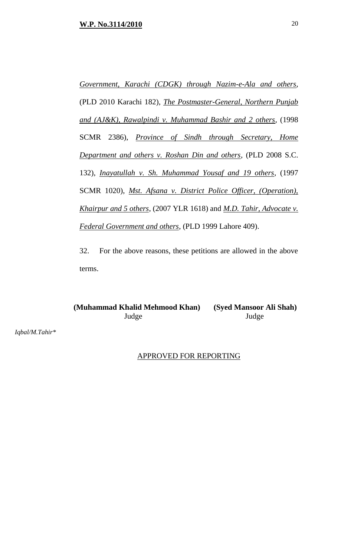## **W.P. No.3114/2010** 20

*Government, Karachi (CDGK) through Nazim-e-Ala and others*, (PLD 2010 Karachi 182), *The Postmaster-General, Northern Punjab and (AJ&K), Rawalpindi v. Muhammad Bashir and 2 others*, (1998 SCMR 2386), *Province of Sindh through Secretary, Home Department and others v. Roshan Din and others*, (PLD 2008 S.C. 132), *Inayatullah v. Sh. Muhammad Yousaf and 19 others*, (1997 SCMR 1020), *Mst. Afsana v. District Police Officer, (Operation),* 

*Khairpur and 5 others*, (2007 YLR 1618) and *M.D. Tahir, Advocate v. Federal Government and others*, (PLD 1999 Lahore 409).

32. For the above reasons, these petitions are allowed in the above terms.

 **(Muhammad Khalid Mehmood Khan) (Syed Mansoor Ali Shah)** Judge Judge

*Iqbal/M.Tahir\**

### APPROVED FOR REPORTING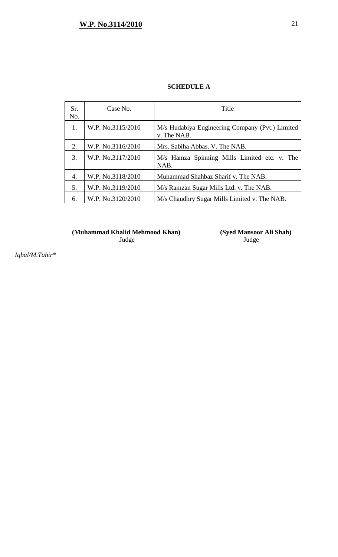| Sr.<br>No.       | Case No.          | Title                                                          |  |
|------------------|-------------------|----------------------------------------------------------------|--|
| 1.               | W.P. No.3115/2010 | M/s Hudabiya Engineering Company (Pvt.) Limited<br>v. The NAB. |  |
| 2.               | W.P. No.3116/2010 | Mrs. Sabiha Abbas. V. The NAB.                                 |  |
| 3.               | W.P. No.3117/2010 | M/s Hamza Spinning Mills Limited etc. v. The<br>NAB.           |  |
| $\overline{4}$ . | W.P. No.3118/2010 | Muhammad Shahbaz Sharif v. The NAB.                            |  |
| 5.               | W.P. No.3119/2010 | M/s Ramzan Sugar Mills Ltd. v. The NAB.                        |  |
| 6.               | W.P. No.3120/2010 | M/s Chaudhry Sugar Mills Limited v. The NAB.                   |  |

**(Muhammad Khalid Mehmood Khan)** 

nalid Mehmood Khan) (Syed Mansoor Ali Shah)<br>Judge Judge Judge

*Iqbal/M.Tahir\**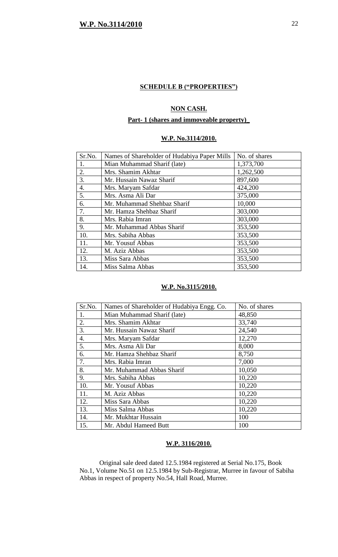### **SCHEDULE B ("PROPERTIES")**

### **NON CASH.**

#### **Part- 1 (shares and immoveable property)\_**

#### **W.P. No.3114/2010.**

| Sr.No. | Names of Shareholder of Hudabiya Paper Mills | No. of shares |
|--------|----------------------------------------------|---------------|
| 1.     | Mian Muhammad Sharif (late)                  | 1,373,700     |
| 2.     | Mrs. Shamim Akhtar                           | 1,262,500     |
| 3.     | Mr. Hussain Nawaz Sharif                     | 897,600       |
| 4.     | Mrs. Maryam Safdar                           | 424,200       |
| 5.     | Mrs. Asma Ali Dar                            | 375,000       |
| 6.     | Mr. Muhammad Shehbaz Sharif                  | 10,000        |
| 7.     | Mr. Hamza Shehbaz Sharif                     | 303,000       |
| 8.     | Mrs. Rabia Imran                             | 303,000       |
| 9.     | Mr. Muhammad Abbas Sharif                    | 353,500       |
| 10.    | Mrs. Sabiha Abbas                            | 353,500       |
| 11.    | Mr. Yousuf Abbas                             | 353,500       |
| 12.    | M. Aziz Abbas                                | 353,500       |
| 13.    | Miss Sara Abbas                              | 353,500       |
| 14.    | Miss Salma Abbas                             | 353,500       |

#### **W.P. No.3115/2010.**

| Sr.No. | Names of Shareholder of Hudabiya Engg. Co. | No. of shares |
|--------|--------------------------------------------|---------------|
| 1.     | Mian Muhammad Sharif (late)                | 48,850        |
| 2.     | Mrs. Shamim Akhtar                         | 33,740        |
| 3.     | Mr. Hussain Nawaz Sharif                   | 24,540        |
| 4.     | Mrs. Maryam Safdar                         | 12,270        |
| 5.     | Mrs. Asma Ali Dar                          | 8,000         |
| 6.     | Mr. Hamza Shehbaz Sharif                   | 8,750         |
| 7.     | Mrs. Rabia Imran                           | 7,000         |
| 8.     | Mr. Muhammad Abbas Sharif                  | 10,050        |
| 9.     | Mrs. Sabiha Abbas                          | 10,220        |
| 10.    | Mr. Yousuf Abbas                           | 10,220        |
| 11.    | M. Aziz Abbas                              | 10,220        |
| 12.    | Miss Sara Abbas                            | 10,220        |
| 13.    | Miss Salma Abbas                           | 10,220        |
| 14.    | Mr. Mukhtar Hussain                        | 100           |
| 15.    | Mr. Abdul Hameed Butt                      | 100           |

#### **W.P. 3116/2010.**

Original sale deed dated 12.5.1984 registered at Serial No.175, Book No.1, Volume No.51 on 12.5.1984 by Sub-Registrar, Murree in favour of Sabiha Abbas in respect of property No.54, Hall Road, Murree.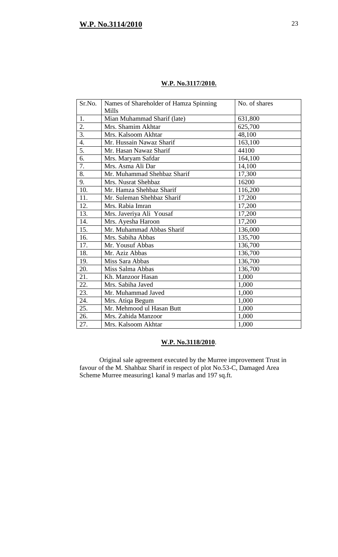### **W.P. No.3117/2010.**

| Sr.No. | Names of Shareholder of Hamza Spinning<br>Mills | No. of shares |
|--------|-------------------------------------------------|---------------|
| 1.     | Mian Muhammad Sharif (late)                     | 631,800       |
| 2.     | Mrs. Shamim Akhtar                              | 625,700       |
| 3.     | Mrs. Kalsoom Akhtar                             | 48,100        |
| 4.     | Mr. Hussain Nawaz Sharif                        | 163,100       |
| 5.     | Mr. Hasan Nawaz Sharif                          | 44100         |
| 6.     | Mrs. Maryam Safdar                              | 164,100       |
| 7.     | Mrs. Asma Ali Dar                               | 14,100        |
| 8.     | Mr. Muhammad Shehbaz Sharif                     | 17,300        |
| 9.     | Mrs. Nusrat Shehbaz                             | 16200         |
| 10.    | Mr. Hamza Shehbaz Sharif                        | 116,200       |
| 11.    | Mr. Suleman Shehbaz Sharif                      | 17,200        |
| 12.    | Mrs. Rabia Imran                                | 17,200        |
| 13.    | Mrs. Javeriya Ali Yousaf                        | 17,200        |
| 14.    | Mrs. Ayesha Haroon                              | 17,200        |
| 15.    | Mr. Muhammad Abbas Sharif                       | 136,000       |
| 16.    | Mrs. Sabiha Abbas                               | 135,700       |
| 17.    | Mr. Yousuf Abbas                                | 136,700       |
| 18.    | Mr. Aziz Abbas                                  | 136,700       |
| 19.    | Miss Sara Abbas                                 | 136,700       |
| 20.    | Miss Salma Abbas                                | 136,700       |
| 21.    | Kh. Manzoor Hasan                               | 1,000         |
| 22.    | Mrs. Sabiha Javed                               | 1,000         |
| 23.    | Mr. Muhammad Javed                              | 1,000         |
| 24.    | Mrs. Atiqa Begum                                | 1,000         |
| 25.    | Mr. Mehmood ul Hasan Butt                       | 1,000         |
| 26.    | Mrs. Zahida Manzoor                             | 1,000         |
| 27.    | Mrs. Kalsoom Akhtar                             | 1,000         |

### **W.P. No.3118/2010**.

Original sale agreement executed by the Murree improvement Trust in favour of the M. Shahbaz Sharif in respect of plot No.53-C, Damaged Area Scheme Murree measuring1 kanal 9 marlas and 197 sq.ft.